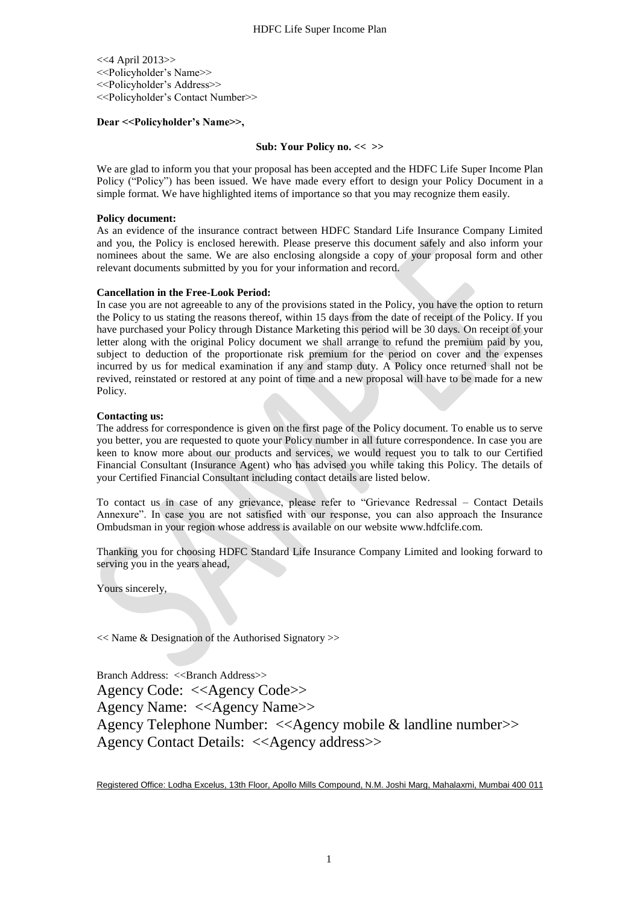<<4 April 2013>> <<Policyholder's Name>> <<Policyholder's Address>> <<Policyholder's Contact Number>>

# **Dear <<Policyholder's Name>>,**

# **Sub: Your Policy no. << >>**

We are glad to inform you that your proposal has been accepted and the HDFC Life Super Income Plan Policy ("Policy") has been issued. We have made every effort to design your Policy Document in a simple format. We have highlighted items of importance so that you may recognize them easily.

# **Policy document:**

As an evidence of the insurance contract between HDFC Standard Life Insurance Company Limited and you, the Policy is enclosed herewith. Please preserve this document safely and also inform your nominees about the same. We are also enclosing alongside a copy of your proposal form and other relevant documents submitted by you for your information and record.

# **Cancellation in the Free-Look Period:**

In case you are not agreeable to any of the provisions stated in the Policy, you have the option to return the Policy to us stating the reasons thereof, within 15 days from the date of receipt of the Policy. If you have purchased your Policy through Distance Marketing this period will be 30 days. On receipt of your letter along with the original Policy document we shall arrange to refund the premium paid by you, subject to deduction of the proportionate risk premium for the period on cover and the expenses incurred by us for medical examination if any and stamp duty. A Policy once returned shall not be revived, reinstated or restored at any point of time and a new proposal will have to be made for a new Policy.

# **Contacting us:**

The address for correspondence is given on the first page of the Policy document. To enable us to serve you better, you are requested to quote your Policy number in all future correspondence. In case you are keen to know more about our products and services, we would request you to talk to our Certified Financial Consultant (Insurance Agent) who has advised you while taking this Policy. The details of your Certified Financial Consultant including contact details are listed below.

To contact us in case of any grievance, please refer to "Grievance Redressal – Contact Details Annexure". In case you are not satisfied with our response, you can also approach the Insurance Ombudsman in your region whose address is available on our website www.hdfclife.com.

Thanking you for choosing HDFC Standard Life Insurance Company Limited and looking forward to serving you in the years ahead,

Yours sincerely,

<< Name & Designation of the Authorised Signatory >>

Branch Address: <<Br/>Shanch Address>> Agency Code: <<Agency Code>> Agency Name: <<Agency Name>> Agency Telephone Number: <<Agency mobile & landline number>> Agency Contact Details: <<Agency address>>

Registered Office: Lodha Excelus, 13th Floor, Apollo Mills Compound, N.M. Joshi Marg, Mahalaxmi, Mumbai 400 011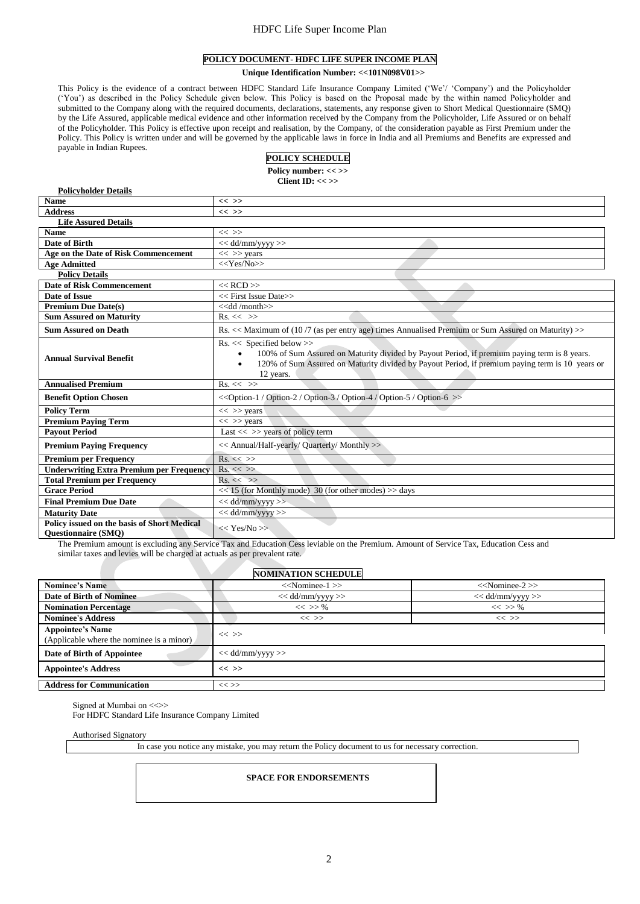# HDFC Life Super Income Plan

# **POLICY DOCUMENT- HDFC LIFE SUPER INCOME PLAN**

**Unique Identification Number: <<101N098V01>>**

This Policy is the evidence of a contract between HDFC Standard Life Insurance Company Limited ('We'/ 'Company') and the Policyholder ('You') as described in the Policy Schedule given below. This Policy is based on the Proposal made by the within named Policyholder and submitted to the Company along with the required documents, declarations, statements, any response given to Short Medical Questionnaire (SMQ) by the Life Assured, applicable medical evidence and other information received by the Company from the Policyholder, Life Assured or on behalf of the Policyholder. This Policy is effective upon receipt and realisation, by the Company, of the consideration payable as First Premium under the of the Policyholder. This Policy is effective upon receipt and realisation Policy. This Policy is written under and will be governed by the applicable laws in force in India and all Premiums and Benefits are expressed and payable in Indian Rupees.

# **POLICY SCHEDULE**

Policy number: << >>

**Client ID: << >>**

| <b>Policyholder Details</b>                                               |                                                                                                                                                                                                                                                                          |  |  |  |  |
|---------------------------------------------------------------------------|--------------------------------------------------------------------------------------------------------------------------------------------------------------------------------------------------------------------------------------------------------------------------|--|--|--|--|
| <b>Name</b>                                                               | $<<$ >>                                                                                                                                                                                                                                                                  |  |  |  |  |
| <b>Address</b>                                                            | $<<$ >>                                                                                                                                                                                                                                                                  |  |  |  |  |
| <b>Life Assured Details</b>                                               |                                                                                                                                                                                                                                                                          |  |  |  |  |
| <b>Name</b>                                                               | $<<$ >>                                                                                                                                                                                                                                                                  |  |  |  |  |
| Date of Birth                                                             | $<<$ dd/mm/yyyy $>>$                                                                                                                                                                                                                                                     |  |  |  |  |
| Age on the Date of Risk Commencement                                      | $<<$ >> years                                                                                                                                                                                                                                                            |  |  |  |  |
| <b>Age Admitted</b>                                                       | $<<$ Yes/No>>                                                                                                                                                                                                                                                            |  |  |  |  |
| <b>Policy Details</b>                                                     |                                                                                                                                                                                                                                                                          |  |  |  |  |
| <b>Date of Risk Commencement</b>                                          | $<<$ RCD $>>$                                                                                                                                                                                                                                                            |  |  |  |  |
| Date of Issue                                                             | << First Issue Date>>                                                                                                                                                                                                                                                    |  |  |  |  |
| <b>Premium Due Date(s)</b>                                                | < <dd month="">&gt;</dd>                                                                                                                                                                                                                                                 |  |  |  |  |
| <b>Sum Assured on Maturity</b>                                            | $Rs. \ll \gg$                                                                                                                                                                                                                                                            |  |  |  |  |
| <b>Sum Assured on Death</b>                                               | Rs. << Maximum of (10/7 (as per entry age) times Annualised Premium or Sum Assured on Maturity) >>                                                                                                                                                                       |  |  |  |  |
| <b>Annual Survival Benefit</b>                                            | $Rs. \ll$ Specified below $>>$<br>100% of Sum Assured on Maturity divided by Payout Period, if premium paying term is 8 years.<br>$\bullet$<br>120% of Sum Assured on Maturity divided by Payout Period, if premium paying term is 10 years or<br>$\bullet$<br>12 years. |  |  |  |  |
| <b>Annualised Premium</b>                                                 | $Rs. \ll \gg$                                                                                                                                                                                                                                                            |  |  |  |  |
| <b>Benefit Option Chosen</b>                                              | < <option-1 option-2="" option-3="" option-4="" option-5="" option-6="">&gt;</option-1>                                                                                                                                                                                  |  |  |  |  |
| <b>Policy Term</b>                                                        | $<<$ >> years                                                                                                                                                                                                                                                            |  |  |  |  |
| <b>Premium Paying Term</b>                                                | $<<$ >> years                                                                                                                                                                                                                                                            |  |  |  |  |
| <b>Pavout Period</b>                                                      | Last $<<$ >> years of policy term                                                                                                                                                                                                                                        |  |  |  |  |
| <b>Premium Paying Frequency</b>                                           | << Annual/Half-yearly/ Quarterly/ Monthly >>                                                                                                                                                                                                                             |  |  |  |  |
| <b>Premium per Frequency</b>                                              | $Rs. \ll \gg$                                                                                                                                                                                                                                                            |  |  |  |  |
| <b>Underwriting Extra Premium per Frequency</b>                           | $Rs. \ll \gg$                                                                                                                                                                                                                                                            |  |  |  |  |
| <b>Total Premium per Frequency</b>                                        | $Rs. \ll \gg$                                                                                                                                                                                                                                                            |  |  |  |  |
| <b>Grace Period</b>                                                       | $<<$ 15 (for Monthly mode) 30 (for other modes) >> days                                                                                                                                                                                                                  |  |  |  |  |
| <b>Final Premium Due Date</b>                                             | $<<$ dd/mm/yyyy $>>$                                                                                                                                                                                                                                                     |  |  |  |  |
| <b>Maturity Date</b>                                                      | $<<$ dd/mm/yyyy>>                                                                                                                                                                                                                                                        |  |  |  |  |
| Policy issued on the basis of Short Medical<br><b>Ouestionnaire (SMO)</b> | << Yes/No>>                                                                                                                                                                                                                                                              |  |  |  |  |

The Premium amount is excluding any Service Tax and Education Cess leviable on the Premium. Amount of Service Tax, Education Cess and similar taxes and levies will be charged at actuals as per prevalent rate.

| <b>NOMINATION SCHEDULE</b>                                           |                      |                      |  |  |  |  |  |
|----------------------------------------------------------------------|----------------------|----------------------|--|--|--|--|--|
| <b>Nominee's Name</b>                                                | $<<$ Nominee-1 $>>$  | $<<$ Nominee-2 $>>$  |  |  |  |  |  |
| <b>Date of Birth of Nominee</b>                                      | $<<$ dd/mm/yyyy $>>$ | $<<$ dd/mm/yyyy $>>$ |  |  |  |  |  |
| <b>Nomination Percentage</b>                                         | $<<$ >> %            | $<<$ >> %            |  |  |  |  |  |
| <b>Nominee's Address</b>                                             | $<<$ >>              | $<<$ >>              |  |  |  |  |  |
| <b>Appointee's Name</b><br>(Applicable where the nominee is a minor) | $<<$ >>              |                      |  |  |  |  |  |
| Date of Birth of Appointee                                           | $<<$ dd/mm/yyyy $>>$ |                      |  |  |  |  |  |
| <b>Appointee's Address</b>                                           | $<<$ >>              |                      |  |  |  |  |  |
| <b>Address for Communication</b>                                     | $<<$ >>              |                      |  |  |  |  |  |

Signed at Mumbai on < $\ll$ 

For HDFC Standard Life Insurance Company Limited

Authorised Signatory

In case you notice any mistake, you may return the Policy document to us for necessary correction.

### **SPACE FOR ENDORSEMENTS**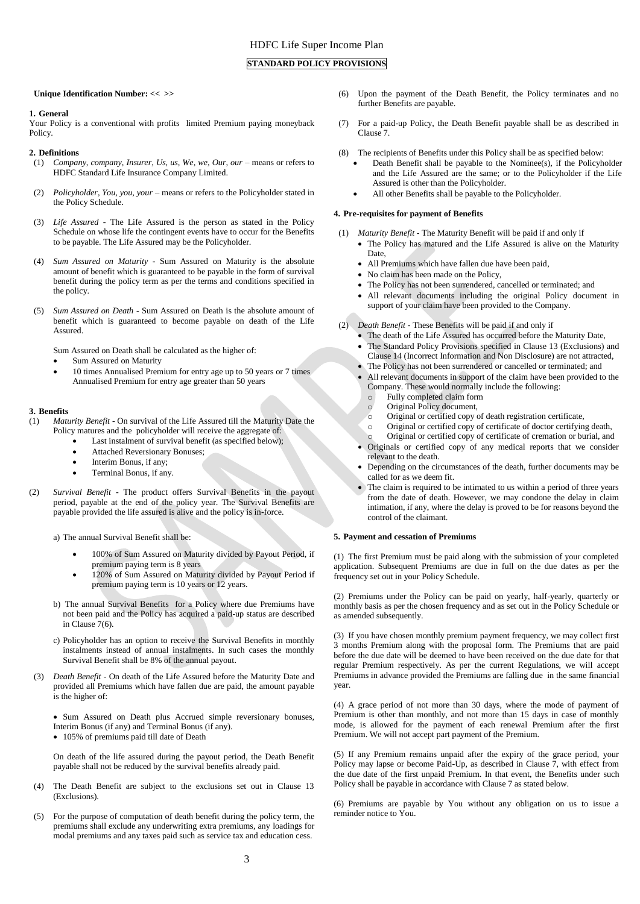# **STANDARD POLICY PROVISIONS**

**Unique Identification Number: << >>**

### **1. General**

Your Policy is a conventional with profits limited Premium paying moneyback Policy.

### **2. Definitions**

- (1) *Company, company, Insurer, Us, us, We, we, Our, our* means or refers to HDFC Standard Life Insurance Company Limited.
- (2) *Policyholder, You, you, your* means or refers to the Policyholder stated in the Policy Schedule.
- (3) *Life Assured* The Life Assured is the person as stated in the Policy Schedule on whose life the contingent events have to occur for the Benefits to be payable. The Life Assured may be the Policyholder.
- (4) *Sum Assured on Maturity* Sum Assured on Maturity is the absolute amount of benefit which is guaranteed to be payable in the form of survival benefit during the policy term as per the terms and conditions specified in the policy.
- (5) *Sum Assured on Death* Sum Assured on Death is the absolute amount of benefit which is guaranteed to become payable on death of the Life Assured.

Sum Assured on Death shall be calculated as the higher of:

- Sum Assured on Maturity
- 10 times Annualised Premium for entry age up to 50 years or 7 times Annualised Premium for entry age greater than 50 years

### **3. Benefits**

- (1) *Maturity Benefit* On survival of the Life Assured till the Maturity Date the Policy matures and the policyholder will receive the aggregate of:
	- Last instalment of survival benefit (as specified below);
	- Attached Reversionary Bonuses;
	- Interim Bonus, if any;
	- Terminal Bonus, if any.
- (2) *Survival Benefit* **-** The product offers Survival Benefits in the payout period, payable at the end of the policy year. The Survival Benefits are payable provided the life assured is alive and the policy is in-force.

a) The annual Survival Benefit shall be:

- 100% of Sum Assured on Maturity divided by Payout Period, if premium paying term is 8 years
- 120% of Sum Assured on Maturity divided by Payout Period if premium paying term is 10 years or 12 years.
- b) The annual Survival Benefits for a Policy where due Premiums have not been paid and the Policy has acquired a paid-up status are described in Clause 7(6).
- c) Policyholder has an option to receive the Survival Benefits in monthly instalments instead of annual instalments. In such cases the monthly Survival Benefit shall be 8% of the annual payout.
- (3) *Death Benefit* On death of the Life Assured before the Maturity Date and provided all Premiums which have fallen due are paid, the amount payable is the higher of:

• Sum Assured on Death plus Accrued simple reversionary bonuses, Interim Bonus (if any) and Terminal Bonus (if any).

105% of premiums paid till date of Death

On death of the life assured during the payout period, the Death Benefit payable shall not be reduced by the survival benefits already paid.

- (4) The Death Benefit are subject to the exclusions set out in Clause 13 (Exclusions).
- For the purpose of computation of death benefit during the policy term, the premiums shall exclude any underwriting extra premiums, any loadings for modal premiums and any taxes paid such as service tax and education cess.
- (6) Upon the payment of the Death Benefit, the Policy terminates and no further Benefits are payable.
- (7) For a paid-up Policy, the Death Benefit payable shall be as described in Clause 7.
- (8) The recipients of Benefits under this Policy shall be as specified below:
	- Death Benefit shall be payable to the Nominee(s), if the Policyholder and the Life Assured are the same; or to the Policyholder if the Life Assured is other than the Policyholder.
	- All other Benefits shall be payable to the Policyholder.

### **4. Pre-requisites for payment of Benefits**

- (1) *Maturity Benefit* The Maturity Benefit will be paid if and only if The Policy has matured and the Life Assured is alive on the Maturity Date,
	- All Premiums which have fallen due have been paid,
	- No claim has been made on the Policy,
	- The Policy has not been surrendered, cancelled or terminated; and
	- All relevant documents including the original Policy document in support of your claim have been provided to the Company.
- (2) *Death Benefit -* These Benefits will be paid if and only if
	- The death of the Life Assured has occurred before the Maturity Date, The Standard Policy Provisions specified in Clause 13 (Exclusions) and Clause 14 (Incorrect Information and Non Disclosure) are not attracted,
	- The Policy has not been surrendered or cancelled or terminated; and
	- All relevant documents in support of the claim have been provided to the Company. These would normally include the following:
		- o Fully completed claim form
		- o Original Policy document,
		- o Original or certified copy of death registration certificate,
		- o Original or certified copy of certificate of doctor certifying death,
	- Original or certified copy of certificate of cremation or burial, and Originals or certified copy of any medical reports that we consider relevant to the death.
	- Depending on the circumstances of the death, further documents may be called for as we deem fit.
	- The claim is required to be intimated to us within a period of three years from the date of death. However, we may condone the delay in claim intimation, if any, where the delay is proved to be for reasons beyond the control of the claimant.

### **5. Payment and cessation of Premiums**

(1) The first Premium must be paid along with the submission of your completed application. Subsequent Premiums are due in full on the due dates as per the frequency set out in your Policy Schedule.

(2) Premiums under the Policy can be paid on yearly, half-yearly, quarterly or monthly basis as per the chosen frequency and as set out in the Policy Schedule or as amended subsequently.

(3) If you have chosen monthly premium payment frequency, we may collect first 3 months Premium along with the proposal form. The Premiums that are paid before the due date will be deemed to have been received on the due date for that regular Premium respectively. As per the current Regulations, we will accept Premiums in advance provided the Premiums are falling due in the same financial year.

(4) A grace period of not more than 30 days, where the mode of payment of Premium is other than monthly, and not more than 15 days in case of monthly mode, is allowed for the payment of each renewal Premium after the first Premium. We will not accept part payment of the Premium.

(5) If any Premium remains unpaid after the expiry of the grace period, your Policy may lapse or become Paid-Up, as described in Clause 7, with effect from the due date of the first unpaid Premium. In that event, the Benefits under such Policy shall be payable in accordance with Clause 7 as stated below.

(6) Premiums are payable by You without any obligation on us to issue a reminder notice to You.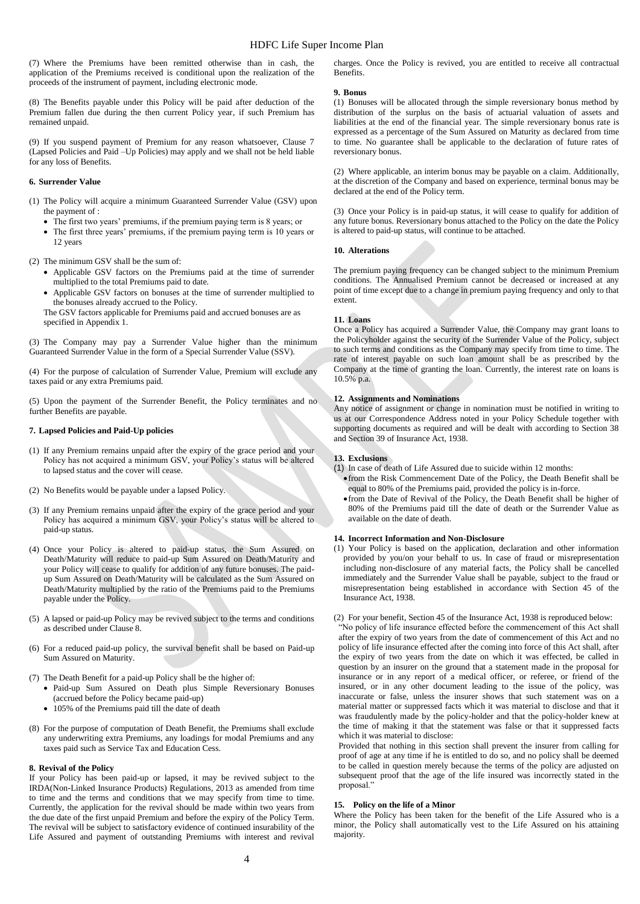(7) Where the Premiums have been remitted otherwise than in cash, the application of the Premiums received is conditional upon the realization of the proceeds of the instrument of payment, including electronic mode.

(8) The Benefits payable under this Policy will be paid after deduction of the Premium fallen due during the then current Policy year, if such Premium has remained unpaid.

(9) If you suspend payment of Premium for any reason whatsoever, Clause 7 (Lapsed Policies and Paid –Up Policies) may apply and we shall not be held liable for any loss of Benefits.

# **6. Surrender Value**

- (1) The Policy will acquire a minimum Guaranteed Surrender Value (GSV) upon the payment of :
	- The first two years' premiums, if the premium paying term is 8 years; or
	- The first three years' premiums, if the premium paying term is 10 years or 12 years

(2) The minimum GSV shall be the sum of:

- Applicable GSV factors on the Premiums paid at the time of surrender multiplied to the total Premiums paid to date.
- Applicable GSV factors on bonuses at the time of surrender multiplied to the bonuses already accrued to the Policy.

The GSV factors applicable for Premiums paid and accrued bonuses are as specified in Appendix 1.

(3) The Company may pay a Surrender Value higher than the minimum Guaranteed Surrender Value in the form of a Special Surrender Value (SSV).

(4) For the purpose of calculation of Surrender Value, Premium will exclude any taxes paid or any extra Premiums paid.

(5) Upon the payment of the Surrender Benefit, the Policy terminates and no further Benefits are payable.

### **7. Lapsed Policies and Paid-Up policies**

- (1) If any Premium remains unpaid after the expiry of the grace period and your Policy has not acquired a minimum GSV, your Policy's status will be altered to lapsed status and the cover will cease.
- (2) No Benefits would be payable under a lapsed Policy.
- (3) If any Premium remains unpaid after the expiry of the grace period and your Policy has acquired a minimum GSV, your Policy's status will be altered to paid-up status.
- (4) Once your Policy is altered to paid-up status, the Sum Assured on Death/Maturity will reduce to paid-up Sum Assured on Death/Maturity and your Policy will cease to qualify for addition of any future bonuses. The paidup Sum Assured on Death/Maturity will be calculated as the Sum Assured on Death/Maturity multiplied by the ratio of the Premiums paid to the Premiums payable under the Policy.
- (5) A lapsed or paid-up Policy may be revived subject to the terms and conditions as described under Clause 8.
- (6) For a reduced paid-up policy, the survival benefit shall be based on Paid-up Sum Assured on Maturity.
- (7) The Death Benefit for a paid-up Policy shall be the higher of:
	- Paid-up Sum Assured on Death plus Simple Reversionary Bonuses (accrued before the Policy became paid-up)
	- 105% of the Premiums paid till the date of death
- (8) For the purpose of computation of Death Benefit, the Premiums shall exclude any underwriting extra Premiums, any loadings for modal Premiums and any taxes paid such as Service Tax and Education Cess.

### **8. Revival of the Policy**

If your Policy has been paid-up or lapsed, it may be revived subject to the IRDA(Non-Linked Insurance Products) Regulations, 2013 as amended from time to time and the terms and conditions that we may specify from time to time. Currently, the application for the revival should be made within two years from the due date of the first unpaid Premium and before the expiry of the Policy Term. The revival will be subject to satisfactory evidence of continued insurability of the Life Assured and payment of outstanding Premiums with interest and revival

charges. Once the Policy is revived, you are entitled to receive all contractual Benefits.

#### **9. Bonus**

(1) Bonuses will be allocated through the simple reversionary bonus method by distribution of the surplus on the basis of actuarial valuation of assets and liabilities at the end of the financial year. The simple reversionary bonus rate is expressed as a percentage of the Sum Assured on Maturity as declared from time to time. No guarantee shall be applicable to the declaration of future rates of reversionary bonus.

(2) Where applicable, an interim bonus may be payable on a claim. Additionally, at the discretion of the Company and based on experience, terminal bonus may be declared at the end of the Policy term.

(3) Once your Policy is in paid-up status, it will cease to qualify for addition of any future bonus. Reversionary bonus attached to the Policy on the date the Policy is altered to paid-up status, will continue to be attached.

### **10. Alterations**

The premium paying frequency can be changed subject to the minimum Premium conditions. The Annualised Premium cannot be decreased or increased at any point of time except due to a change in premium paying frequency and only to that extent.

### **11. Loans**

Once a Policy has acquired a Surrender Value, the Company may grant loans to the Policyholder against the security of the Surrender Value of the Policy, subject to such terms and conditions as the Company may specify from time to time. The rate of interest payable on such loan amount shall be as prescribed by the Company at the time of granting the loan. Currently, the interest rate on loans is 10.5% p.a.

# **12. Assignments and Nominations**

Any notice of assignment or change in nomination must be notified in writing to us at our Correspondence Address noted in your Policy Schedule together with supporting documents as required and will be dealt with according to Section 38 and Section 39 of Insurance Act, 1938.

### **13. Exclusions**

- (1) In case of death of Life Assured due to suicide within 12 months:
	- from the Risk Commencement Date of the Policy, the Death Benefit shall be equal to 80% of the Premiums paid, provided the policy is in-force.
	- from the Date of Revival of the Policy, the Death Benefit shall be higher of 80% of the Premiums paid till the date of death or the Surrender Value as available on the date of death.

### **14. Incorrect Information and Non-Disclosure**

- (1) Your Policy is based on the application, declaration and other information provided by you/on your behalf to us. In case of fraud or misrepresentation including non-disclosure of any material facts, the Policy shall be cancelled immediately and the Surrender Value shall be payable, subject to the fraud or misrepresentation being established in accordance with Section 45 of the Insurance Act, 1938.
- (2) For your benefit, Section 45 of the Insurance Act, 1938 is reproduced below:

"No policy of life insurance effected before the commencement of this Act shall after the expiry of two years from the date of commencement of this Act and no policy of life insurance effected after the coming into force of this Act shall, after the expiry of two years from the date on which it was effected, be called in question by an insurer on the ground that a statement made in the proposal for insurance or in any report of a medical officer, or referee, or friend of the insured, or in any other document leading to the issue of the policy, was inaccurate or false, unless the insurer shows that such statement was on a material matter or suppressed facts which it was material to disclose and that it was fraudulently made by the policy-holder and that the policy-holder knew at the time of making it that the statement was false or that it suppressed facts which it was material to disclose:

Provided that nothing in this section shall prevent the insurer from calling for proof of age at any time if he is entitled to do so, and no policy shall be deemed to be called in question merely because the terms of the policy are adjusted on subsequent proof that the age of the life insured was incorrectly stated in the proposal."

### **15. Policy on the life of a Minor**

Where the Policy has been taken for the benefit of the Life Assured who is a minor, the Policy shall automatically vest to the Life Assured on his attaining majority.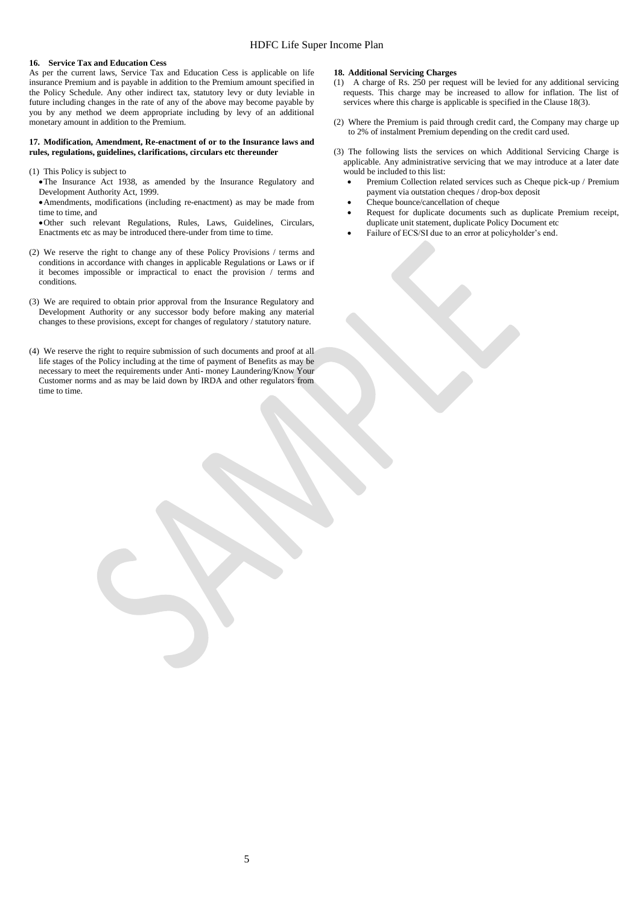### **16. Service Tax and Education Cess**

As per the current laws, Service Tax and Education Cess is applicable on life insurance Premium and is payable in addition to the Premium amount specified in the Policy Schedule. Any other indirect tax, statutory levy or duty leviable in future including changes in the rate of any of the above may become payable by you by any method we deem appropriate including by levy of an additional monetary amount in addition to the Premium.

### **17. Modification, Amendment, Re-enactment of or to the Insurance laws and rules, regulations, guidelines, clarifications, circulars etc thereunder**

(1) This Policy is subject to

The Insurance Act 1938, as amended by the Insurance Regulatory and Development Authority Act, 1999.

Amendments, modifications (including re-enactment) as may be made from time to time, and

Other such relevant Regulations, Rules, Laws, Guidelines, Circulars, Enactments etc as may be introduced there-under from time to time.

- (2) We reserve the right to change any of these Policy Provisions / terms and conditions in accordance with changes in applicable Regulations or Laws or if it becomes impossible or impractical to enact the provision / terms and conditions.
- (3) We are required to obtain prior approval from the Insurance Regulatory and Development Authority or any successor body before making any material changes to these provisions, except for changes of regulatory / statutory nature.
- (4) We reserve the right to require submission of such documents and proof at all life stages of the Policy including at the time of payment of Benefits as may be necessary to meet the requirements under Anti- money Laundering/Know Your Customer norms and as may be laid down by IRDA and other regulators from time to time.

### **18. Additional Servicing Charges**

- (1) A charge of Rs. 250 per request will be levied for any additional servicing requests. This charge may be increased to allow for inflation. The list of services where this charge is applicable is specified in the Clause 18(3).
- (2) Where the Premium is paid through credit card, the Company may charge up to 2% of instalment Premium depending on the credit card used.
- (3) The following lists the services on which Additional Servicing Charge is applicable. Any administrative servicing that we may introduce at a later date would be included to this list:
	- Premium Collection related services such as Cheque pick-up / Premium payment via outstation cheques / drop-box deposit
	- Cheque bounce/cancellation of cheque
	- Request for duplicate documents such as duplicate Premium receipt, duplicate unit statement, duplicate Policy Document etc
	- Failure of ECS/SI due to an error at policyholder's end.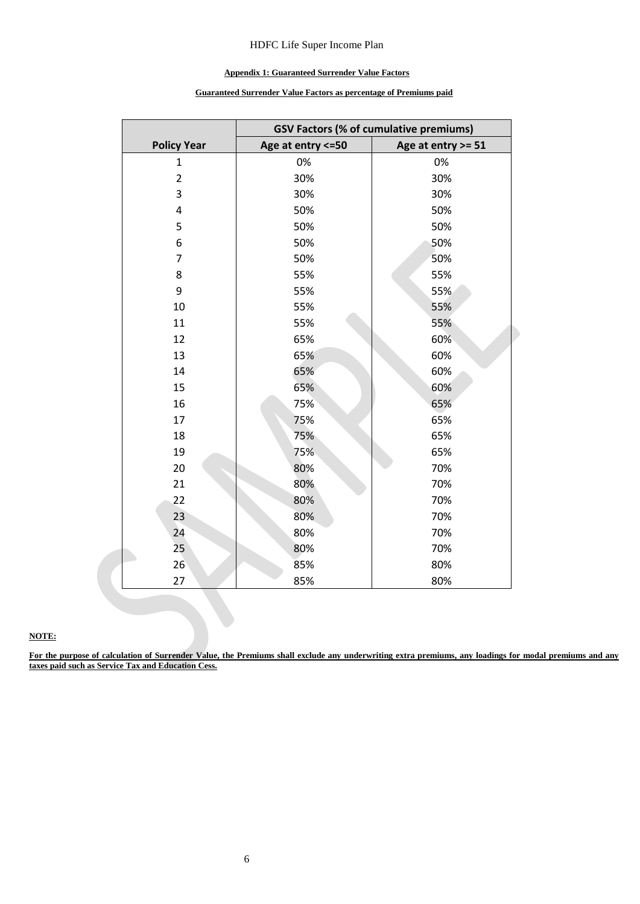# HDFC Life Super Income Plan

# **Appendix 1: Guaranteed Surrender Value Factors**

# **Guaranteed Surrender Value Factors as percentage of Premiums paid**

|                    | <b>GSV Factors (% of cumulative premiums)</b> |                    |  |  |  |
|--------------------|-----------------------------------------------|--------------------|--|--|--|
| <b>Policy Year</b> | Age at entry <= 50                            | Age at entry >= 51 |  |  |  |
| 1                  | 0%                                            | 0%                 |  |  |  |
| $\overline{2}$     | 30%                                           | 30%                |  |  |  |
| 3                  | 30%                                           | 30%                |  |  |  |
| 4                  | 50%                                           | 50%                |  |  |  |
| 5                  | 50%                                           | 50%                |  |  |  |
| 6                  | 50%                                           | 50%                |  |  |  |
| $\overline{7}$     | 50%                                           | 50%                |  |  |  |
| 8                  | 55%                                           | 55%                |  |  |  |
| 9                  | 55%                                           | 55%                |  |  |  |
| 10                 | 55%                                           | 55%                |  |  |  |
| 11                 | 55%                                           | 55%                |  |  |  |
| 12                 | 65%                                           | 60%                |  |  |  |
| 13                 | 65%                                           | 60%                |  |  |  |
| 14                 | 65%                                           | 60%                |  |  |  |
| 15                 | 65%                                           | 60%                |  |  |  |
| 16                 | 75%                                           | 65%                |  |  |  |
| 17                 | 75%                                           | 65%                |  |  |  |
| 18                 | 75%                                           | 65%                |  |  |  |
| 19                 | 75%                                           | 65%                |  |  |  |
| 20                 | 80%                                           | 70%                |  |  |  |
| 21                 | 80%                                           | 70%                |  |  |  |
| 22                 | 80%                                           | 70%                |  |  |  |
| 23                 | 80%                                           | 70%                |  |  |  |
| 24                 | 80%                                           | 70%                |  |  |  |
| 25                 | 80%                                           | 70%                |  |  |  |
| 26                 | 85%                                           | 80%                |  |  |  |
| 27                 | 85%                                           | 80%                |  |  |  |

# **NOTE:**

**For the purpose of calculation of Surrender Value, the Premiums shall exclude any underwriting extra premiums, any loadings for modal premiums and any taxes paid such as Service Tax and Education Cess.**